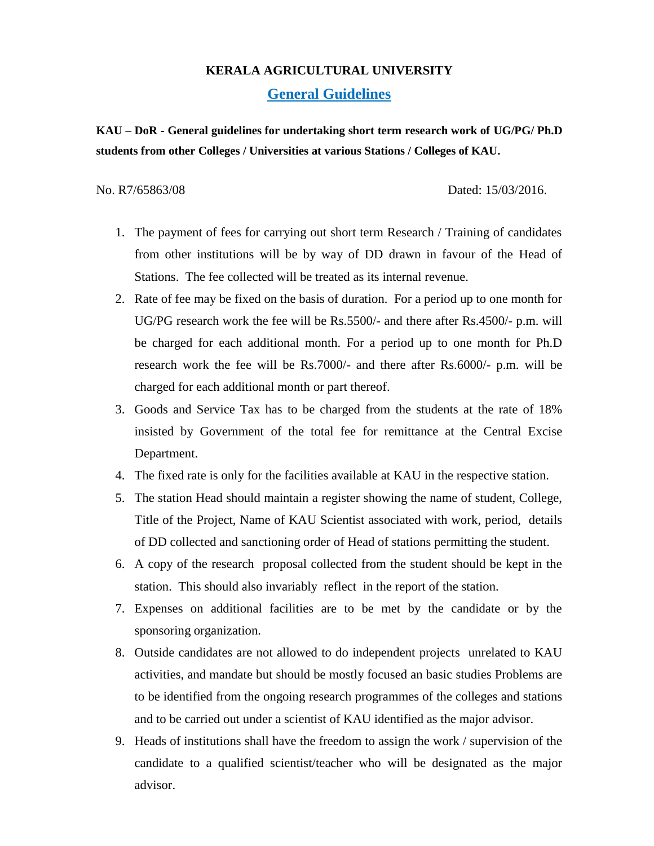## **KERALA AGRICULTURAL UNIVERSITY**

**General Guidelines** 

**KAU – DoR - General guidelines for undertaking short term research work of UG/PG/ Ph.D students from other Colleges / Universities at various Stations / Colleges of KAU.**

No. R7/65863/08 Dated: 15/03/2016.

- 1. The payment of fees for carrying out short term Research / Training of candidates from other institutions will be by way of DD drawn in favour of the Head of Stations. The fee collected will be treated as its internal revenue.
- 2. Rate of fee may be fixed on the basis of duration. For a period up to one month for UG/PG research work the fee will be Rs.5500/- and there after Rs.4500/- p.m. will be charged for each additional month. For a period up to one month for Ph.D research work the fee will be Rs.7000/- and there after Rs.6000/- p.m. will be charged for each additional month or part thereof.
- 3. Goods and Service Tax has to be charged from the students at the rate of 18% insisted by Government of the total fee for remittance at the Central Excise Department.
- 4. The fixed rate is only for the facilities available at KAU in the respective station.
- 5. The station Head should maintain a register showing the name of student, College, Title of the Project, Name of KAU Scientist associated with work, period, details of DD collected and sanctioning order of Head of stations permitting the student.
- 6. A copy of the research proposal collected from the student should be kept in the station. This should also invariably reflect in the report of the station.
- 7. Expenses on additional facilities are to be met by the candidate or by the sponsoring organization.
- 8. Outside candidates are not allowed to do independent projects unrelated to KAU activities, and mandate but should be mostly focused an basic studies Problems are to be identified from the ongoing research programmes of the colleges and stations and to be carried out under a scientist of KAU identified as the major advisor.
- 9. Heads of institutions shall have the freedom to assign the work / supervision of the candidate to a qualified scientist/teacher who will be designated as the major advisor.